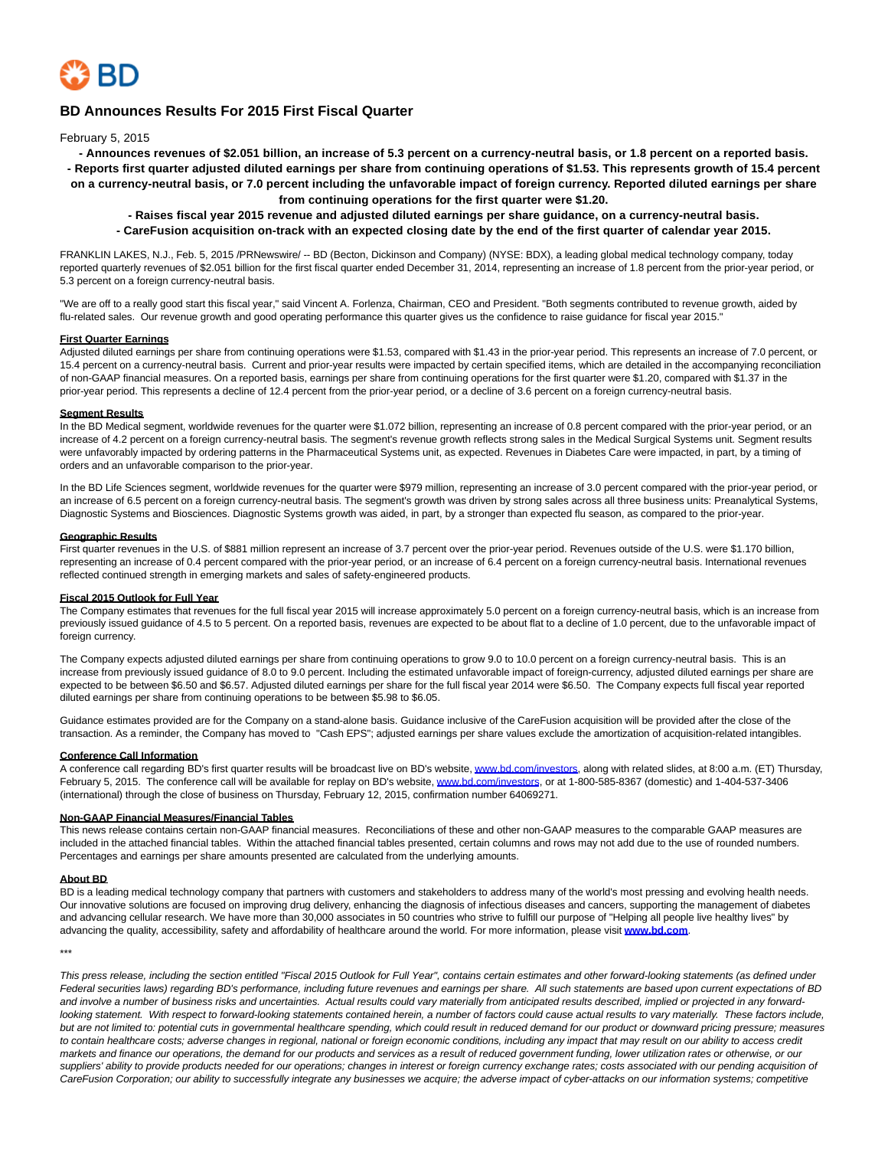

# **BD Announces Results For 2015 First Fiscal Quarter**

February 5, 2015

**- Announces revenues of \$2.051 billion, an increase of 5.3 percent on a currency-neutral basis, or 1.8 percent on a reported basis. - Reports first quarter adjusted diluted earnings per share from continuing operations of \$1.53. This represents growth of 15.4 percent on a currency-neutral basis, or 7.0 percent including the unfavorable impact of foreign currency. Reported diluted earnings per share from continuing operations for the first quarter were \$1.20.**

**- Raises fiscal year 2015 revenue and adjusted diluted earnings per share guidance, on a currency-neutral basis. - CareFusion acquisition on-track with an expected closing date by the end of the first quarter of calendar year 2015.**

FRANKLIN LAKES, N.J., Feb. 5, 2015 /PRNewswire/ -- BD (Becton, Dickinson and Company) (NYSE: BDX), a leading global medical technology company, today reported quarterly revenues of \$2.051 billion for the first fiscal quarter ended December 31, 2014, representing an increase of 1.8 percent from the prior-year period, or 5.3 percent on a foreign currency-neutral basis.

"We are off to a really good start this fiscal year," said Vincent A. Forlenza, Chairman, CEO and President. "Both segments contributed to revenue growth, aided by flu-related sales. Our revenue growth and good operating performance this quarter gives us the confidence to raise guidance for fiscal year 2015."

#### **First Quarter Earnings**

Adjusted diluted earnings per share from continuing operations were \$1.53, compared with \$1.43 in the prior-year period. This represents an increase of 7.0 percent, or 15.4 percent on a currency-neutral basis. Current and prior-year results were impacted by certain specified items, which are detailed in the accompanying reconciliation of non-GAAP financial measures. On a reported basis, earnings per share from continuing operations for the first quarter were \$1.20, compared with \$1.37 in the prior-year period. This represents a decline of 12.4 percent from the prior-year period, or a decline of 3.6 percent on a foreign currency-neutral basis.

# **Segment Results**

In the BD Medical segment, worldwide revenues for the quarter were \$1.072 billion, representing an increase of 0.8 percent compared with the prior-year period, or an increase of 4.2 percent on a foreign currency-neutral basis. The segment's revenue growth reflects strong sales in the Medical Surgical Systems unit. Segment results were unfavorably impacted by ordering patterns in the Pharmaceutical Systems unit, as expected. Revenues in Diabetes Care were impacted, in part, by a timing of orders and an unfavorable comparison to the prior-year.

In the BD Life Sciences segment, worldwide revenues for the quarter were \$979 million, representing an increase of 3.0 percent compared with the prior-year period, or an increase of 6.5 percent on a foreign currency-neutral basis. The segment's growth was driven by strong sales across all three business units: Preanalytical Systems, Diagnostic Systems and Biosciences. Diagnostic Systems growth was aided, in part, by a stronger than expected flu season, as compared to the prior-year.

#### **Geographic Results**

First quarter revenues in the U.S. of \$881 million represent an increase of 3.7 percent over the prior-year period. Revenues outside of the U.S. were \$1.170 billion, representing an increase of 0.4 percent compared with the prior-year period, or an increase of 6.4 percent on a foreign currency-neutral basis. International revenues reflected continued strength in emerging markets and sales of safety-engineered products.

#### **Fiscal 2015 Outlook for Full Year**

The Company estimates that revenues for the full fiscal year 2015 will increase approximately 5.0 percent on a foreign currency-neutral basis, which is an increase from previously issued guidance of 4.5 to 5 percent. On a reported basis, revenues are expected to be about flat to a decline of 1.0 percent, due to the unfavorable impact of foreign currency.

The Company expects adjusted diluted earnings per share from continuing operations to grow 9.0 to 10.0 percent on a foreign currency-neutral basis. This is an increase from previously issued guidance of 8.0 to 9.0 percent. Including the estimated unfavorable impact of foreign-currency, adjusted diluted earnings per share are expected to be between \$6.50 and \$6.57. Adjusted diluted earnings per share for the full fiscal year 2014 were \$6.50. The Company expects full fiscal year reported diluted earnings per share from continuing operations to be between \$5.98 to \$6.05.

Guidance estimates provided are for the Company on a stand-alone basis. Guidance inclusive of the CareFusion acquisition will be provided after the close of the transaction. As a reminder, the Company has moved to "Cash EPS"; adjusted earnings per share values exclude the amortization of acquisition-related intangibles.

# **Conference Call Information**

A conference call regarding BD's first quarter results will be broadcast live on BD's website, [www.bd.com/investors,](http://www.bd.com/investors) along with related slides, at 8:00 a.m. (ET) Thursday, February 5, 2015. The conference call will be available for replay on BD's website[, www.bd.com/investors,](http://www.bd.com/investors) or at 1-800-585-8367 (domestic) and 1-404-537-3406 (international) through the close of business on Thursday, February 12, 2015, confirmation number 64069271.

#### **Non-GAAP Financial Measures/Financial Tables**

This news release contains certain non-GAAP financial measures. Reconciliations of these and other non-GAAP measures to the comparable GAAP measures are included in the attached financial tables. Within the attached financial tables presented, certain columns and rows may not add due to the use of rounded numbers. Percentages and earnings per share amounts presented are calculated from the underlying amounts.

#### **About BD**

BD is a leading medical technology company that partners with customers and stakeholders to address many of the world's most pressing and evolving health needs. Our innovative solutions are focused on improving drug delivery, enhancing the diagnosis of infectious diseases and cancers, supporting the management of diabetes and advancing cellular research. We have more than 30,000 associates in 50 countries who strive to fulfill our purpose of "Helping all people live healthy lives" by advancing the quality, accessibility, safety and affordability of healthcare around the world. For more information, please visit **[www.bd.com](http://www.bd.com/)**.

\*\*\*

This press release, including the section entitled "Fiscal 2015 Outlook for Full Year", contains certain estimates and other forward-looking statements (as defined under Federal securities laws) regarding BD's performance, including future revenues and earnings per share. All such statements are based upon current expectations of BD and involve a number of business risks and uncertainties. Actual results could vary materially from anticipated results described, implied or projected in any forwardlooking statement. With respect to forward-looking statements contained herein, a number of factors could cause actual results to vary materially. These factors include, but are not limited to: potential cuts in governmental healthcare spending, which could result in reduced demand for our product or downward pricing pressure; measures to contain healthcare costs; adverse changes in regional, national or foreign economic conditions, including any impact that may result on our ability to access credit markets and finance our operations, the demand for our products and services as a result of reduced government funding, lower utilization rates or otherwise, or our suppliers' ability to provide products needed for our operations; changes in interest or foreign currency exchange rates; costs associated with our pending acquisition of CareFusion Corporation; our ability to successfully integrate any businesses we acquire; the adverse impact of cyber-attacks on our information systems; competitive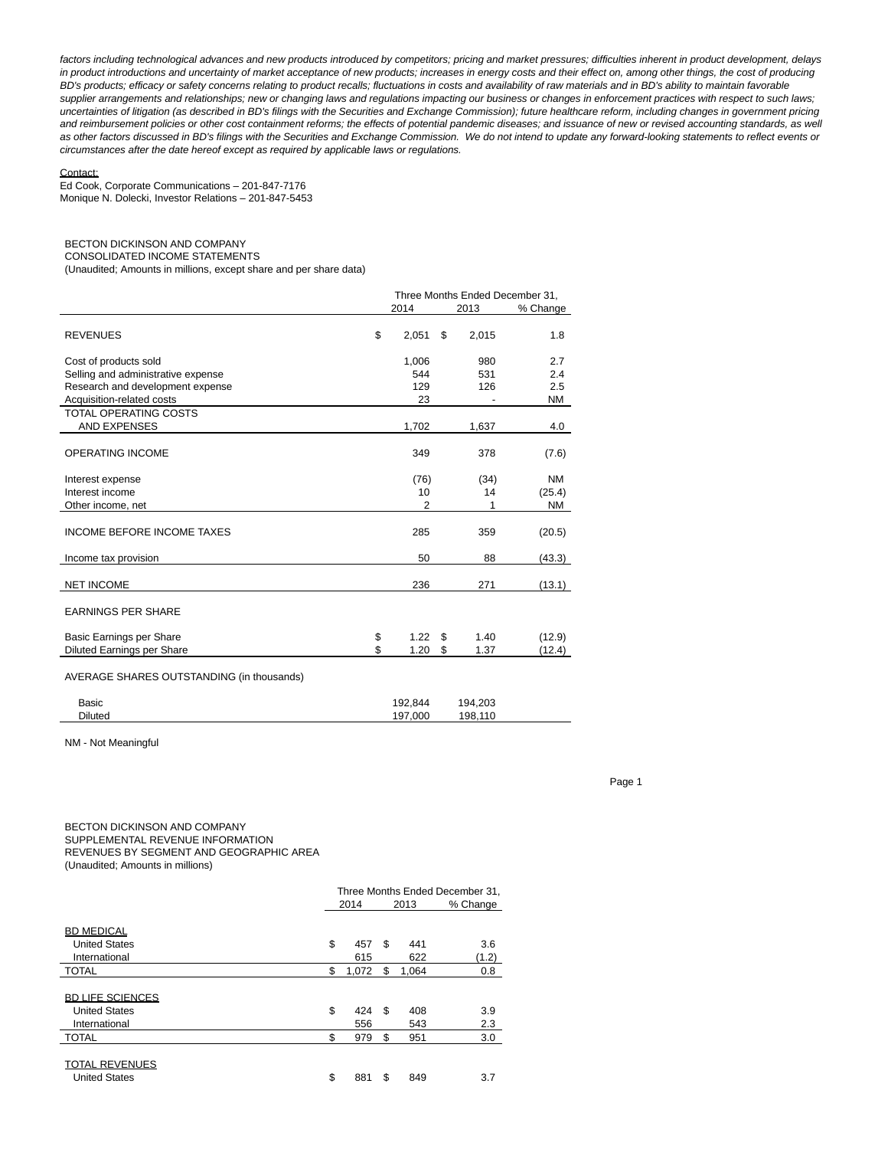factors including technological advances and new products introduced by competitors; pricing and market pressures; difficulties inherent in product development, delays in product introductions and uncertainty of market acceptance of new products; increases in energy costs and their effect on, among other things, the cost of producing BD's products; efficacy or safety concerns relating to product recalls; fluctuations in costs and availability of raw materials and in BD's ability to maintain favorable supplier arrangements and relationships; new or changing laws and regulations impacting our business or changes in enforcement practices with respect to such laws; uncertainties of litigation (as described in BD's filings with the Securities and Exchange Commission); future healthcare reform, including changes in government pricing and reimbursement policies or other cost containment reforms; the effects of potential pandemic diseases; and issuance of new or revised accounting standards, as well as other factors discussed in BD's filings with the Securities and Exchange Commission. We do not intend to update any forward-looking statements to reflect events or circumstances after the date hereof except as required by applicable laws or regulations.

#### Contact:

Ed Cook, Corporate Communications – 201-847-7176 Monique N. Dolecki, Investor Relations – 201-847-5453

# BECTON DICKINSON AND COMPANY

CONSOLIDATED INCOME STATEMENTS

(Unaudited; Amounts in millions, except share and per share data)

|                                           |             | Three Months Ended December 31. |           |  |
|-------------------------------------------|-------------|---------------------------------|-----------|--|
|                                           | 2014        | 2013                            | % Change  |  |
| <b>REVENUES</b>                           | \$<br>2.051 | \$<br>2,015                     | 1.8       |  |
| Cost of products sold                     | 1,006       | 980                             | 2.7       |  |
| Selling and administrative expense        | 544         | 531                             | 2.4       |  |
| Research and development expense          | 129         | 126                             | 2.5       |  |
| Acquisition-related costs                 | 23          |                                 | ΝM        |  |
| <b>TOTAL OPERATING COSTS</b>              |             |                                 |           |  |
| <b>AND EXPENSES</b>                       | 1,702       | 1,637                           | 4.0       |  |
| OPERATING INCOME                          | 349         | 378                             | (7.6)     |  |
| Interest expense                          | (76)        | (34)                            | <b>NM</b> |  |
| Interest income                           | 10          | 14                              | (25.4)    |  |
| Other income, net                         | 2           |                                 | NM        |  |
| <b>INCOME BEFORE INCOME TAXES</b>         | 285         | 359                             | (20.5)    |  |
| Income tax provision                      | 50          | 88                              | (43.3)    |  |
| <b>NET INCOME</b>                         | 236         | 271                             | (13.1)    |  |
| <b>EARNINGS PER SHARE</b>                 |             |                                 |           |  |
| Basic Earnings per Share                  | \$<br>1.22  | \$<br>1.40                      | (12.9)    |  |
| Diluted Earnings per Share                | \$<br>1.20  | \$<br>1.37                      | (12.4)    |  |
| AVERAGE SHARES OUTSTANDING (in thousands) |             |                                 |           |  |

| Basic          | 192.844 | 194,203 |  |
|----------------|---------|---------|--|
| <b>Diluted</b> | 197.000 | 198.110 |  |

NM - Not Meaningful

Page 1

BECTON DICKINSON AND COMPANY SUPPLEMENTAL REVENUE INFORMATION REVENUES BY SEGMENT AND GEOGRAPHIC AREA (Unaudited; Amounts in millions)

| Three Months Ended December 31, |       |      |       |          |  |  |  |  |
|---------------------------------|-------|------|-------|----------|--|--|--|--|
|                                 |       |      |       | % Change |  |  |  |  |
|                                 |       |      |       |          |  |  |  |  |
|                                 |       |      |       |          |  |  |  |  |
|                                 | 457   | \$   | 441   | 3.6      |  |  |  |  |
|                                 | 615   |      | 622   | (1.2)    |  |  |  |  |
| \$                              | 1,072 | \$   | 1.064 | 0.8      |  |  |  |  |
|                                 |       |      |       |          |  |  |  |  |
|                                 |       |      |       |          |  |  |  |  |
| \$                              | 424   | \$   | 408   | 3.9      |  |  |  |  |
|                                 | 556   |      | 543   | 2.3      |  |  |  |  |
| \$                              | 979   | \$   | 951   | 3.0      |  |  |  |  |
|                                 |       |      |       |          |  |  |  |  |
|                                 |       |      |       |          |  |  |  |  |
| \$                              | 881   | \$   | 849   | 3.7      |  |  |  |  |
|                                 | \$    | 2014 |       | 2013     |  |  |  |  |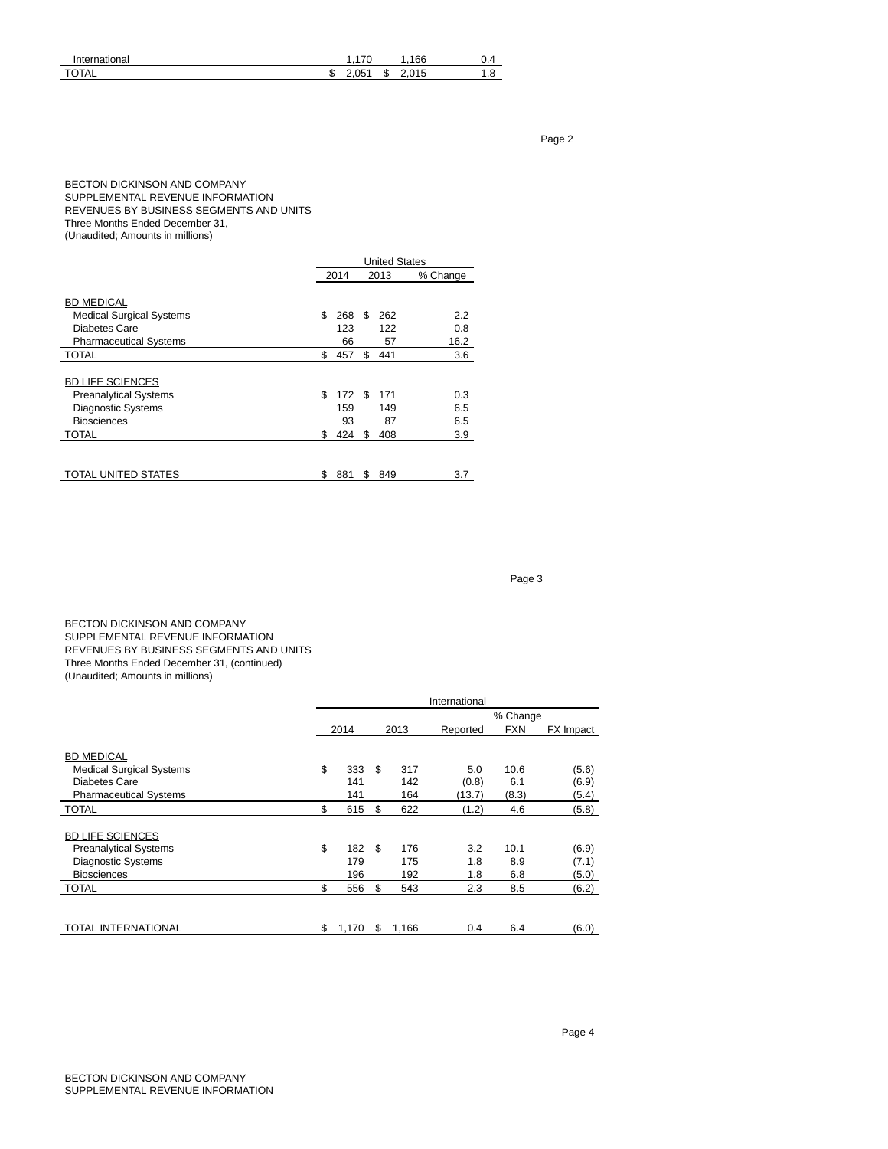| International       |    | $\overline{\phantom{a}}$<br>л. |        | 166            | ר. ש        |
|---------------------|----|--------------------------------|--------|----------------|-------------|
| <b>TA</b><br>H<br>◡ | мD | ∩ҕ                             | œ<br>ъ | 04E<br>า ๆ<br> | . .<br>ن. ا |

Page 2

# BECTON DICKINSON AND COMPANY SUPPLEMENTAL REVENUE INFORMATION REVENUES BY BUSINESS SEGMENTS AND UNITS Three Months Ended December 31,

(Unaudited; Amounts in millions)

|                                 |    |      |    | <b>United States</b> |          |  |
|---------------------------------|----|------|----|----------------------|----------|--|
|                                 |    | 2014 |    | 2013                 | % Change |  |
| <b>BD MEDICAL</b>               |    |      |    |                      |          |  |
| <b>Medical Surgical Systems</b> | \$ | 268  | S  | 262                  | 2.2      |  |
| Diabetes Care                   |    | 123  |    | 122                  | 0.8      |  |
| <b>Pharmaceutical Systems</b>   |    | 66   |    | 57                   | 16.2     |  |
| <b>TOTAL</b>                    | \$ | 457  | \$ | 441                  | 3.6      |  |
| <b>BD LIFE SCIENCES</b>         |    |      |    |                      |          |  |
| <b>Preanalytical Systems</b>    | \$ | 172S |    | 171                  | 0.3      |  |
| Diagnostic Systems              |    | 159  |    | 149                  | 6.5      |  |
| <b>Biosciences</b>              |    | 93   |    | 87                   | 6.5      |  |
| <b>TOTAL</b>                    | \$ | 424  | \$ | 408                  | 3.9      |  |
| <b>TOTAL UNITED STATES</b>      |    |      |    |                      |          |  |
|                                 | S  | 881  | S  | 849                  | 3.7      |  |

#### Page 3

BECTON DICKINSON AND COMPANY SUPPLEMENTAL REVENUE INFORMATION REVENUES BY BUSINESS SEGMENTS AND UNITS Three Months Ended December 31, (continued) (Unaudited; Amounts in millions)

|                                 | International |       |      |       |          |            |           |  |  |  |
|---------------------------------|---------------|-------|------|-------|----------|------------|-----------|--|--|--|
|                                 | % Change      |       |      |       |          |            |           |  |  |  |
|                                 |               | 2014  | 2013 |       | Reported | <b>FXN</b> | FX Impact |  |  |  |
| <b>BD MEDICAL</b>               |               |       |      |       |          |            |           |  |  |  |
| <b>Medical Surgical Systems</b> | \$            | 333   | \$.  | 317   | 5.0      | 10.6       | (5.6)     |  |  |  |
| Diabetes Care                   |               | 141   |      | 142   | (0.8)    | 6.1        | (6.9)     |  |  |  |
| <b>Pharmaceutical Systems</b>   |               | 141   |      | 164   | (13.7)   | (8.3)      | (5.4)     |  |  |  |
| <b>TOTAL</b>                    | \$            | 615   | \$   | 622   | (1.2)    | 4.6        | (5.8)     |  |  |  |
| <b>BD LIFE SCIENCES</b>         |               |       |      |       |          |            |           |  |  |  |
| <b>Preanalytical Systems</b>    | \$            | 182   | -S   | 176   | 3.2      | 10.1       | (6.9)     |  |  |  |
| <b>Diagnostic Systems</b>       |               | 179   |      | 175   | 1.8      | 8.9        | (7.1)     |  |  |  |
| <b>Biosciences</b>              |               | 196   |      | 192   | 1.8      | 6.8        | (5.0)     |  |  |  |
| <b>TOTAL</b>                    | \$            | 556   | \$   | 543   | 2.3      | 8.5        | (6.2)     |  |  |  |
|                                 |               |       |      |       |          |            |           |  |  |  |
| <b>TOTAL INTERNATIONAL</b>      | \$            | 1,170 | S    | 1,166 | 0.4      | 6.4        | (6.0)     |  |  |  |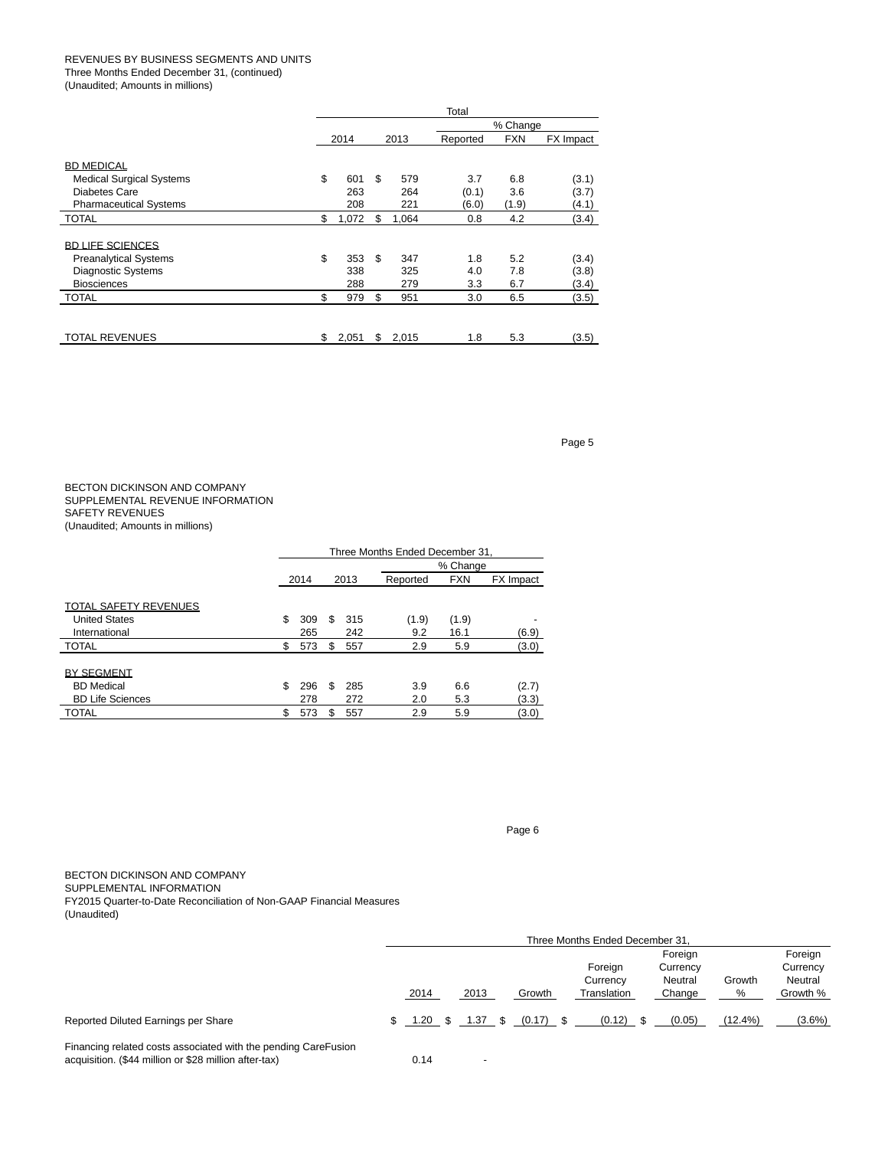# REVENUES BY BUSINESS SEGMENTS AND UNITS

Three Months Ended December 31, (continued)

(Unaudited; Amounts in millions)

|                                                                                                        | Total                   |      |                   |                       |                     |                         |  |  |  |
|--------------------------------------------------------------------------------------------------------|-------------------------|------|-------------------|-----------------------|---------------------|-------------------------|--|--|--|
|                                                                                                        |                         |      |                   |                       | % Change            |                         |  |  |  |
|                                                                                                        | 2014                    | 2013 |                   | Reported              | <b>FXN</b>          | FX Impact               |  |  |  |
| <b>BD MEDICAL</b><br><b>Medical Surgical Systems</b><br>Diabetes Care<br><b>Pharmaceutical Systems</b> | \$<br>601<br>263<br>208 | \$   | 579<br>264<br>221 | 3.7<br>(0.1)<br>(6.0) | 6.8<br>3.6<br>(1.9) | (3.1)<br>(3.7)<br>(4.1) |  |  |  |
| <b>TOTAL</b>                                                                                           | \$<br>1,072             | \$   | 1.064             | 0.8                   | 4.2                 | (3.4)                   |  |  |  |
| <b>BD LIFE SCIENCES</b><br><b>Preanalytical Systems</b><br>Diagnostic Systems<br><b>Biosciences</b>    | \$<br>353<br>338<br>288 | \$.  | 347<br>325<br>279 | 1.8<br>4.0<br>3.3     | 5.2<br>7.8<br>6.7   | (3.4)<br>(3.8)<br>(3.4) |  |  |  |
| <b>TOTAL</b>                                                                                           | \$<br>979               | \$   | 951               | 3.0                   | 6.5                 | (3.5)                   |  |  |  |
| <b>TOTAL REVENUES</b>                                                                                  | \$<br>2,051             | \$   | 2,015             | 1.8                   | 5.3                 | (3.5)                   |  |  |  |

Page 5

# BECTON DICKINSON AND COMPANY SUPPLEMENTAL REVENUE INFORMATION SAFETY REVENUES (Unaudited; Amounts in millions)

|                              |    | Three Months Ended December 31. |   |     |       |       |       |          |            |           |  |  |
|------------------------------|----|---------------------------------|---|-----|-------|-------|-------|----------|------------|-----------|--|--|
|                              |    | % Change                        |   |     |       |       |       |          |            |           |  |  |
|                              |    | 2014<br>2013                    |   |     |       |       |       | Reported | <b>FXN</b> | FX Impact |  |  |
| <b>TOTAL SAFETY REVENUES</b> |    |                                 |   |     |       |       |       |          |            |           |  |  |
| <b>United States</b>         | \$ | 309                             | S | 315 | (1.9) | (1.9) |       |          |            |           |  |  |
| International                |    | 265                             |   | 242 | 9.2   | 16.1  | (6.9) |          |            |           |  |  |
| <b>TOTAL</b>                 | \$ | 573                             | S | 557 | 2.9   | 5.9   | (3.0) |          |            |           |  |  |
| <b>BY SEGMENT</b>            |    |                                 |   |     |       |       |       |          |            |           |  |  |
| <b>BD</b> Medical            | \$ | 296                             | S | 285 | 3.9   | 6.6   | (2.7) |          |            |           |  |  |
| <b>BD Life Sciences</b>      |    | 278                             |   | 272 | 2.0   | 5.3   | (3.3) |          |            |           |  |  |
| <b>TOTAL</b>                 | \$ | 573                             | S | 557 | 2.9   | 5.9   | (3.0) |          |            |           |  |  |

Page 6

BECTON DICKINSON AND COMPANY SUPPLEMENTAL INFORMATION FY2015 Quarter-to-Date Reconciliation of Non-GAAP Financial Measures (Unaudited)

|                                                                                                                         |  | Three Months Ended December 31, |      |  |                     |  |             |         |          |            |           |
|-------------------------------------------------------------------------------------------------------------------------|--|---------------------------------|------|--|---------------------|--|-------------|---------|----------|------------|-----------|
|                                                                                                                         |  |                                 |      |  |                     |  | Foreian     | Foreign |          |            |           |
|                                                                                                                         |  |                                 |      |  |                     |  | Foreign     |         | Currency |            | Currency  |
|                                                                                                                         |  |                                 |      |  |                     |  | Currency    |         | Neutral  | Growth     | Neutral   |
|                                                                                                                         |  | 2014                            | 2013 |  | Growth              |  | Translation |         | Change   | %          | Growth %  |
| Reported Diluted Earnings per Share                                                                                     |  | \$ 1.20<br><b>S</b>             |      |  | 1.37 \$ $(0.17)$ \$ |  | $(0.12)$ \$ |         | (0.05)   | $(12.4\%)$ | $(3.6\%)$ |
| Financing related costs associated with the pending CareFusion<br>acquisition. (\$44 million or \$28 million after-tax) |  | 0.14                            |      |  |                     |  |             |         |          |            |           |